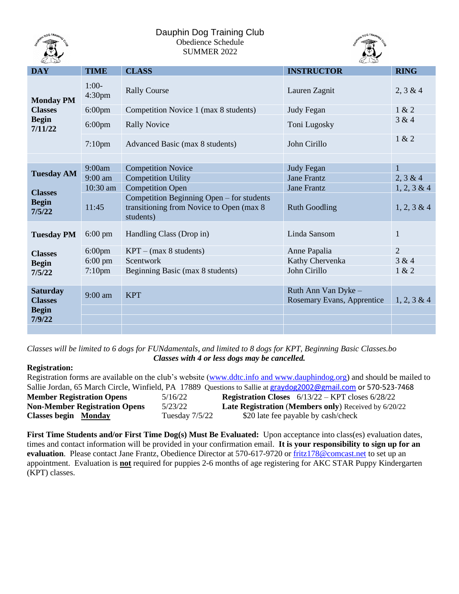

# Dauphin Dog Training Club Obedience Schedule SUMMER 2022



| <b>DAY</b>                                                    | <b>TIME</b>                   | <b>CLASS</b>                                                                                        | <b>INSTRUCTOR</b>                                 | <b>RING</b>    |
|---------------------------------------------------------------|-------------------------------|-----------------------------------------------------------------------------------------------------|---------------------------------------------------|----------------|
| <b>Monday PM</b><br><b>Classes</b><br><b>Begin</b><br>7/11/22 | $1:00-$<br>4:30 <sub>pm</sub> | <b>Rally Course</b>                                                                                 | Lauren Zagnit                                     | 2, 3 & 4       |
|                                                               | $6:00$ pm                     | Competition Novice 1 (max 8 students)                                                               | Judy Fegan                                        | 1 & 2          |
|                                                               | $6:00$ pm                     | <b>Rally Novice</b>                                                                                 | Toni Lugosky                                      | 3 & 4          |
|                                                               | $7:10$ pm                     | Advanced Basic (max 8 students)                                                                     | John Cirillo                                      | 1 & 2          |
|                                                               |                               |                                                                                                     |                                                   |                |
| <b>Tuesday AM</b><br><b>Classes</b><br><b>Begin</b><br>7/5/22 | 9:00am                        | <b>Competition Novice</b>                                                                           | <b>Judy Fegan</b>                                 | $\mathbf{1}$   |
|                                                               | 9:00 am                       | <b>Competition Utility</b>                                                                          | <b>Jane Frantz</b>                                | 2, 3 & 4       |
|                                                               | 10:30 am                      | <b>Competition Open</b>                                                                             | <b>Jane Frantz</b>                                | 1, 2, 3 & 4    |
|                                                               | 11:45                         | Competition Beginning Open – for students<br>transitioning from Novice to Open (max 8)<br>students) | <b>Ruth Goodling</b>                              | $1, 2, 3 \& 4$ |
| <b>Tuesday PM</b>                                             | $6:00 \text{ pm}$             | Handling Class (Drop in)                                                                            | Linda Sansom                                      | $\mathbf{1}$   |
| <b>Classes</b><br><b>Begin</b><br>7/5/22                      | $6:00 \text{pm}$              | $KPT - (max 8 students)$                                                                            | Anne Papalia                                      | $\overline{2}$ |
|                                                               | $6:00 \text{ pm}$             | Scentwork                                                                                           | Kathy Chervenka                                   | 3 & 4          |
|                                                               | $7:10 \text{pm}$              | Beginning Basic (max 8 students)                                                                    | John Cirillo                                      | 1 & 2          |
|                                                               |                               |                                                                                                     |                                                   |                |
| <b>Saturday</b><br><b>Classes</b><br><b>Begin</b>             | $9:00$ am                     | <b>KPT</b>                                                                                          | Ruth Ann Van Dyke -<br>Rosemary Evans, Apprentice | $1, 2, 3 \& 4$ |
|                                                               |                               |                                                                                                     |                                                   |                |
| 7/9/22                                                        |                               |                                                                                                     |                                                   |                |
|                                                               |                               |                                                                                                     |                                                   |                |

*Classes will be limited to 6 dogs for FUNdamentals, and limited to 8 dogs for KPT, Beginning Basic Classes.bo Classes with 4 or less dogs may be cancelled.*

### **Registration:**

| Registration forms are available on the club's website (www.ddtc.info and www.dauphindog.org) and should be mailed to |                  |                                                             |  |  |  |  |
|-----------------------------------------------------------------------------------------------------------------------|------------------|-------------------------------------------------------------|--|--|--|--|
| Sallie Jordan, 65 March Circle, Winfield, PA 17889 Questions to Sallie at graydog 2002@gmail.com or 570-523-7468      |                  |                                                             |  |  |  |  |
| <b>Member Registration Opens</b>                                                                                      | 5/16/22          | <b>Registration Closes</b> $6/13/22 - KPT$ closes $6/28/22$ |  |  |  |  |
| <b>Non-Member Registration Opens</b>                                                                                  | 5/23/22          | <b>Late Registration (Members only)</b> Received by 6/20/22 |  |  |  |  |
| <b>Classes begin Monday</b>                                                                                           | Tuesday $7/5/22$ | \$20 late fee payable by cash/check                         |  |  |  |  |

**First Time Students and/or First Time Dog(s) Must Be Evaluated:** Upon acceptance into class(es) evaluation dates, times and contact information will be provided in your confirmation email. **It is your responsibility to sign up for an** evaluation. Please contact Jane Frantz, Obedience Director at 570-617-9720 or **fritz178@comcast.net** to set up an appointment. Evaluation is **not** required for puppies 2-6 months of age registering for AKC STAR Puppy Kindergarten (KPT) classes.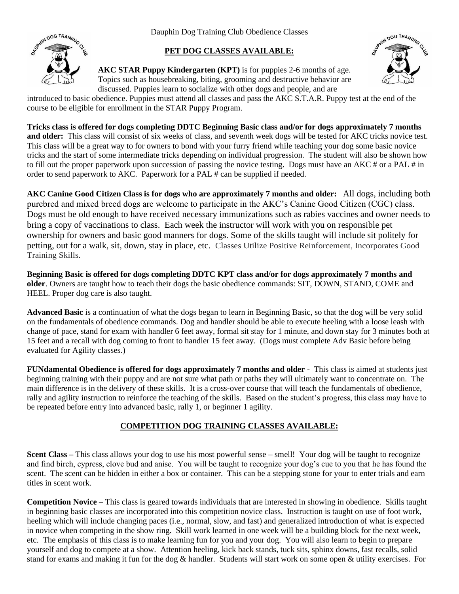Dauphin Dog Training Club Obedience Classes



# **PET DOG CLASSES AVAILABLE:**

**AKC STAR Puppy Kindergarten (KPT)** is for puppies 2-6 months of age. Topics such as housebreaking, biting, grooming and destructive behavior are discussed. Puppies learn to socialize with other dogs and people, and are



introduced to basic obedience. Puppies must attend all classes and pass the AKC S.T.A.R. Puppy test at the end of the course to be eligible for enrollment in the STAR Puppy Program.

**Tricks class is offered for dogs completing DDTC Beginning Basic class and/or for dogs approximately 7 months and older:** This class will consist of six weeks of class, and seventh week dogs will be tested for AKC tricks novice test. This class will be a great way to for owners to bond with your furry friend while teaching your dog some basic novice tricks and the start of some intermediate tricks depending on individual progression. The student will also be shown how to fill out the proper paperwork upon succession of passing the novice testing. Dogs must have an AKC # or a PAL # in order to send paperwork to AKC. Paperwork for a PAL # can be supplied if needed.

**AKC Canine Good Citizen Class is for dogs who are approximately 7 months and older:** All dogs, including both purebred and mixed breed dogs are welcome to participate in the AKC's Canine Good Citizen (CGC) class. Dogs must be old enough to have received necessary immunizations such as rabies vaccines and owner needs to bring a copy of vaccinations to class. Each week the instructor will work with you on responsible pet ownership for owners and basic good manners for dogs. Some of the skills taught will include sit politely for petting, out for a walk, sit, down, stay in place, etc. Classes Utilize Positive Reinforcement, Incorporates Good Training Skills.

**Beginning Basic is offered for dogs completing DDTC KPT class and/or for dogs approximately 7 months and older**. Owners are taught how to teach their dogs the basic obedience commands: SIT, DOWN, STAND, COME and HEEL. Proper dog care is also taught.

**Advanced Basic** is a continuation of what the dogs began to learn in Beginning Basic, so that the dog will be very solid on the fundamentals of obedience commands. Dog and handler should be able to execute heeling with a loose leash with change of pace, stand for exam with handler 6 feet away, formal sit stay for 1 minute, and down stay for 3 minutes both at 15 feet and a recall with dog coming to front to handler 15 feet away. (Dogs must complete Adv Basic before being evaluated for Agility classes.)

**FUNdamental Obedience is offered for dogs approximately 7 months and older** - This class is aimed at students just beginning training with their puppy and are not sure what path or paths they will ultimately want to concentrate on. The main difference is in the delivery of these skills. It is a cross-over course that will teach the fundamentals of obedience, rally and agility instruction to reinforce the teaching of the skills. Based on the student's progress, this class may have to be repeated before entry into advanced basic, rally 1, or beginner 1 agility.

# **COMPETITION DOG TRAINING CLASSES AVAILABLE:**

**Scent Class –** This class allows your dog to use his most powerful sense – smell! Your dog will be taught to recognize and find birch, cypress, clove bud and anise. You will be taught to recognize your dog's cue to you that he has found the scent. The scent can be hidden in either a box or container. This can be a stepping stone for your to enter trials and earn titles in scent work.

**Competition Novice –** This class is geared towards individuals that are interested in showing in obedience. Skills taught in beginning basic classes are incorporated into this competition novice class. Instruction is taught on use of foot work, heeling which will include changing paces (i.e., normal, slow, and fast) and generalized introduction of what is expected in novice when competing in the show ring. Skill work learned in one week will be a building block for the next week, etc. The emphasis of this class is to make learning fun for you and your dog. You will also learn to begin to prepare yourself and dog to compete at a show. Attention heeling, kick back stands, tuck sits, sphinx downs, fast recalls, solid stand for exams and making it fun for the dog & handler. Students will start work on some open & utility exercises. For